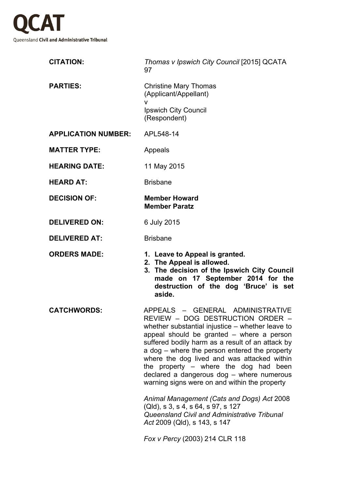

| <b>CITATION:</b>           | Thomas v Ipswich City Council [2015] QCATA<br>97                                                                                                                                                                                                                                                                                                                                                                                                                                                                                                                                                                                                                            |
|----------------------------|-----------------------------------------------------------------------------------------------------------------------------------------------------------------------------------------------------------------------------------------------------------------------------------------------------------------------------------------------------------------------------------------------------------------------------------------------------------------------------------------------------------------------------------------------------------------------------------------------------------------------------------------------------------------------------|
| <b>PARTIES:</b>            | <b>Christine Mary Thomas</b><br>(Applicant/Appellant)<br>v                                                                                                                                                                                                                                                                                                                                                                                                                                                                                                                                                                                                                  |
|                            | <b>Ipswich City Council</b><br>(Respondent)                                                                                                                                                                                                                                                                                                                                                                                                                                                                                                                                                                                                                                 |
| <b>APPLICATION NUMBER:</b> | APL548-14                                                                                                                                                                                                                                                                                                                                                                                                                                                                                                                                                                                                                                                                   |
| <b>MATTER TYPE:</b>        | Appeals                                                                                                                                                                                                                                                                                                                                                                                                                                                                                                                                                                                                                                                                     |
| <b>HEARING DATE:</b>       | 11 May 2015                                                                                                                                                                                                                                                                                                                                                                                                                                                                                                                                                                                                                                                                 |
| <b>HEARD AT:</b>           | <b>Brisbane</b>                                                                                                                                                                                                                                                                                                                                                                                                                                                                                                                                                                                                                                                             |
| <b>DECISION OF:</b>        | <b>Member Howard</b><br><b>Member Paratz</b>                                                                                                                                                                                                                                                                                                                                                                                                                                                                                                                                                                                                                                |
| <b>DELIVERED ON:</b>       | 6 July 2015                                                                                                                                                                                                                                                                                                                                                                                                                                                                                                                                                                                                                                                                 |
| <b>DELIVERED AT:</b>       | <b>Brisbane</b>                                                                                                                                                                                                                                                                                                                                                                                                                                                                                                                                                                                                                                                             |
| <b>ORDERS MADE:</b>        | 1. Leave to Appeal is granted.<br>2. The Appeal is allowed.<br>3. The decision of the Ipswich City Council<br>made on 17 September 2014 for the<br>destruction of the dog 'Bruce' is set<br>aside.                                                                                                                                                                                                                                                                                                                                                                                                                                                                          |
| <b>CATCHWORDS:</b>         | APPEALS - GENERAL ADMINISTRATIVE<br>REVIEW - DOG DESTRUCTION ORDER -<br>whether substantial injustice – whether leave to<br>appeal should be granted – where a person<br>suffered bodily harm as a result of an attack by<br>a dog – where the person entered the property<br>where the dog lived and was attacked within<br>the property $-$ where the dog had<br>been<br>declared a dangerous dog - where numerous<br>warning signs were on and within the property<br>Animal Management (Cats and Dogs) Act 2008<br>(Qld), s 3, s 4, s 64, s 97, s 127<br>Queensland Civil and Administrative Tribunal<br>Act 2009 (Qld), s 143, s 147<br>Fox v Percy (2003) 214 CLR 118 |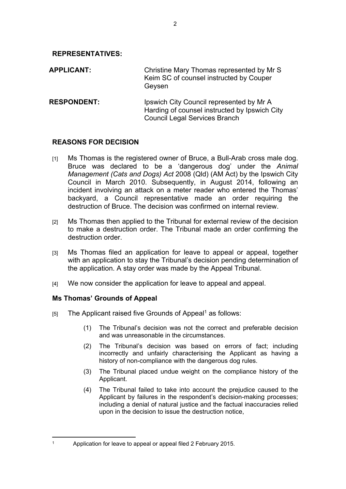**REPRESENTATIVES:**

**APPLICANT:** Christine Mary Thomas represented by Mr S Keim SC of counsel instructed by Couper Geysen

**RESPONDENT:** Ipswich City Council represented by Mr A Harding of counsel instructed by Ipswich City Council Legal Services Branch

## **REASONS FOR DECISION**

- [1] Ms Thomas is the registered owner of Bruce, a Bull-Arab cross male dog. Bruce was declared to be a 'dangerous dog' under the *Animal Management (Cats and Dogs) Act* 2008 (Qld) (AM Act) by the Ipswich City Council in March 2010. Subsequently, in August 2014, following an incident involving an attack on a meter reader who entered the Thomas' backyard, a Council representative made an order requiring the destruction of Bruce. The decision was confirmed on internal review.
- [2] Ms Thomas then applied to the Tribunal for external review of the decision to make a destruction order. The Tribunal made an order confirming the destruction order.
- [3] Ms Thomas filed an application for leave to appeal or appeal, together with an application to stay the Tribunal's decision pending determination of the application. A stay order was made by the Appeal Tribunal.
- [4] We now consider the application for leave to appeal and appeal.

# **Ms Thomas' Grounds of Appeal**

1

- [5] The Applicant raised five Grounds of Appeal<sup>1</sup> as follows:
	- (1) The Tribunal's decision was not the correct and preferable decision and was unreasonable in the circumstances.
	- (2) The Tribunal's decision was based on errors of fact; including incorrectly and unfairly characterising the Applicant as having a history of non-compliance with the dangerous dog rules.
	- (3) The Tribunal placed undue weight on the compliance history of the Applicant.
	- (4) The Tribunal failed to take into account the prejudice caused to the Applicant by failures in the respondent's decision-making processes; including a denial of natural justice and the factual inaccuracies relied upon in the decision to issue the destruction notice,

Application for leave to appeal or appeal filed 2 February 2015.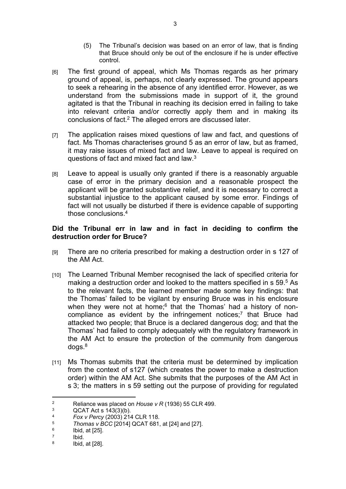- (5) The Tribunal's decision was based on an error of law, that is finding that Bruce should only be out of the enclosure if he is under effective control.
- [6] The first ground of appeal, which Ms Thomas regards as her primary ground of appeal, is, perhaps, not clearly expressed. The ground appears to seek a rehearing in the absence of any identified error. However, as we understand from the submissions made in support of it, the ground agitated is that the Tribunal in reaching its decision erred in failing to take into relevant criteria and/or correctly apply them and in making its conclusions of fact.<sup>2</sup> The alleged errors are discussed later.
- [7] The application raises mixed questions of law and fact, and questions of fact. Ms Thomas characterises ground 5 as an error of law, but as framed, it may raise issues of mixed fact and law. Leave to appeal is required on questions of fact and mixed fact and law.<sup>3</sup>
- [8] Leave to appeal is usually only granted if there is a reasonably arguable case of error in the primary decision and a reasonable prospect the applicant will be granted substantive relief, and it is necessary to correct a substantial injustice to the applicant caused by some error. Findings of fact will not usually be disturbed if there is evidence capable of supporting those conclusions 4

#### **Did the Tribunal err in law and in fact in deciding to confirm the destruction order for Bruce?**

- [9] There are no criteria prescribed for making a destruction order in s 127 of the AM Act.
- [10] The Learned Tribunal Member recognised the lack of specified criteria for making a destruction order and looked to the matters specified in s 59.<sup>5</sup> As to the relevant facts, the learned member made some key findings: that the Thomas' failed to be vigilant by ensuring Bruce was in his enclosure when they were not at home;<sup>6</sup> that the Thomas' had a history of noncompliance as evident by the infringement notices;<sup>7</sup> that Bruce had attacked two people; that Bruce is a declared dangerous dog; and that the Thomas' had failed to comply adequately with the regulatory framework in the AM Act to ensure the protection of the community from dangerous  $d$ ogs. $8<sup>8</sup>$
- [11] Ms Thomas submits that the criteria must be determined by implication from the context of s127 (which creates the power to make a destruction order) within the AM Act. She submits that the purposes of the AM Act in s 3; the matters in s 59 setting out the purpose of providing for regulated

<sup>2</sup> Reliance was placed on *House v R* (1936) 55 CLR 499.

<sup>3</sup>  $QCAT Act S 143(3)(b).$ <br>4 Equive Percy (2003) 21/

<sup>4</sup> *Fox v Percy* (2003) 214 CLR 118.

<sup>5</sup> *Thomas v BCC* [2014] QCAT 681, at [24] and [27].

<sup>6</sup> Ibid, at [25].

<sup>7</sup> Ibid.

<sup>8</sup> Ibid, at [28].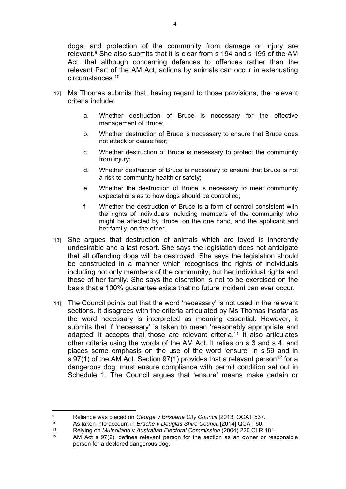dogs; and protection of the community from damage or injury are relevant.<sup>9</sup> She also submits that it is clear from s 194 and s 195 of the AM Act, that although concerning defences to offences rather than the relevant Part of the AM Act, actions by animals can occur in extenuating circumstances.<sup>10</sup>

- [12] Ms Thomas submits that, having regard to those provisions, the relevant criteria include:
	- a. Whether destruction of Bruce is necessary for the effective management of Bruce;
	- b. Whether destruction of Bruce is necessary to ensure that Bruce does not attack or cause fear;
	- c. Whether destruction of Bruce is necessary to protect the community from injury;
	- d. Whether destruction of Bruce is necessary to ensure that Bruce is not a risk to community health or safety;
	- e. Whether the destruction of Bruce is necessary to meet community expectations as to how dogs should be controlled;
	- f. Whether the destruction of Bruce is a form of control consistent with the rights of individuals including members of the community who might be affected by Bruce, on the one hand, and the applicant and her family, on the other.
- [13] She argues that destruction of animals which are loved is inherently undesirable and a last resort. She says the legislation does not anticipate that all offending dogs will be destroyed. She says the legislation should be constructed in a manner which recognises the rights of individuals including not only members of the community, but her individual rights and those of her family. She says the discretion is not to be exercised on the basis that a 100% guarantee exists that no future incident can ever occur.
- [14] The Council points out that the word 'necessary' is not used in the relevant sections. It disagrees with the criteria articulated by Ms Thomas insofar as the word necessary is interpreted as meaning essential. However, it submits that if 'necessary' is taken to mean 'reasonably appropriate and adapted' it accepts that those are relevant criteria.<sup>11</sup> It also articulates other criteria using the words of the AM Act. It relies on s 3 and s 4, and places some emphasis on the use of the word 'ensure' in s 59 and in s 97(1) of the AM Act. Section 97(1) provides that a relevant person<sup>12</sup> for a dangerous dog, must ensure compliance with permit condition set out in Schedule 1. The Council argues that 'ensure' means make certain or

<sup>9</sup> <sup>9</sup><br>Reliance was placed on *George v Brisbane City Council* [2013] QCAT 537.<br>As taken into account in *Brache y Douglas Shire Council* [2014] QCAT 60.

<sup>10</sup> As taken into account in *Brache v Douglas Shire Council* [2014] QCAT 60.

<sup>11</sup> Relying on *Mulholland v Australian Electoral Commission* (2004) 220 CLR 181.

AM Act s 97(2), defines relevant person for the section as an owner or responsible person for a declared dangerous dog.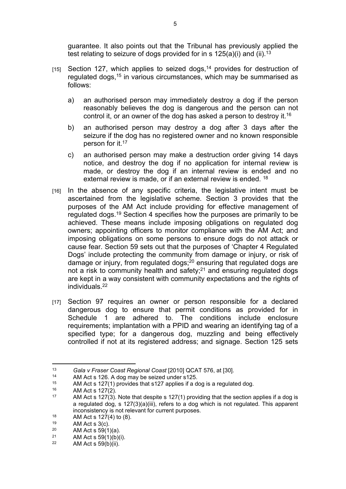guarantee. It also points out that the Tribunal has previously applied the test relating to seizure of dogs provided for in s  $125(a)(i)$  and (ii).<sup>13</sup>

- [15] Section 127, which applies to seized dogs,<sup>14</sup> provides for destruction of regulated dogs,<sup>15</sup> in various circumstances, which may be summarised as follows:
	- a) an authorised person may immediately destroy a dog if the person reasonably believes the dog is dangerous and the person can not control it, or an owner of the dog has asked a person to destroy it.<sup>16</sup>
	- b) an authorised person may destroy a dog after 3 days after the seizure if the dog has no registered owner and no known responsible person for it.<sup>17</sup>
	- c) an authorised person may make a destruction order giving 14 days notice, and destroy the dog if no application for internal review is made, or destroy the dog if an internal review is ended and no external review is made, or if an external review is ended. <sup>18</sup>
- [16] In the absence of any specific criteria, the legislative intent must be ascertained from the legislative scheme. Section 3 provides that the purposes of the AM Act include providing for effective management of regulated dogs.<sup>19</sup> Section 4 specifies how the purposes are primarily to be achieved. These means include imposing obligations on regulated dog owners; appointing officers to monitor compliance with the AM Act; and imposing obligations on some persons to ensure dogs do not attack or cause fear. Section 59 sets out that the purposes of 'Chapter 4 Regulated Dogs' include protecting the community from damage or injury, or risk of damage or injury, from regulated dogs;<sup>20</sup> ensuring that regulated dogs are not a risk to community health and safety;<sup>21</sup> and ensuring regulated dogs are kept in a way consistent with community expectations and the rights of individuals.<sup>22</sup>
- [17] Section 97 requires an owner or person responsible for a declared dangerous dog to ensure that permit conditions as provided for in Schedule 1 are adhered to. The conditions include enclosure requirements; implantation with a PPID and wearing an identifying tag of a specified type; for a dangerous dog, muzzling and being effectively controlled if not at its registered address; and signage. Section 125 sets

<sup>13</sup> *Gala v Fraser Coast Regional Coast* [2010] QCAT 576, at [30].

<sup>&</sup>lt;sup>14</sup> AM Act s 126. A dog may be seized under s125.<br><sup>15</sup> AM Act s 127(1) provides that s127 applies if a d

<sup>15</sup> AM Act s 127(1) provides that s127 applies if a dog is a regulated dog.<br>16 AM Act s 127(2)

<sup>&</sup>lt;sup>16</sup> AM Act s  $127(2)$ .<br><sup>17</sup> AM Act s  $127(2)$ .

AM Act s 127(3). Note that despite s 127(1) providing that the section applies if a dog is a regulated dog, s 127(3)(a)(iii), refers to a dog which is not regulated. This apparent inconsistency is not relevant for current purposes.

<sup>&</sup>lt;sup>18</sup> AM Act s  $127(4)$  to (8).

<sup>&</sup>lt;sup>19</sup> AM Act s 3(c).

<sup>&</sup>lt;sup>20</sup> AM Act s 59(1)(a).<br><sup>21</sup> AM Act s 59(1)(b)(

<sup>&</sup>lt;sup>21</sup> AM Act s 59(1)(b)(i).<br><sup>22</sup> AM Act s 50(b)(ii).

AM Act s  $59(b)(ii)$ .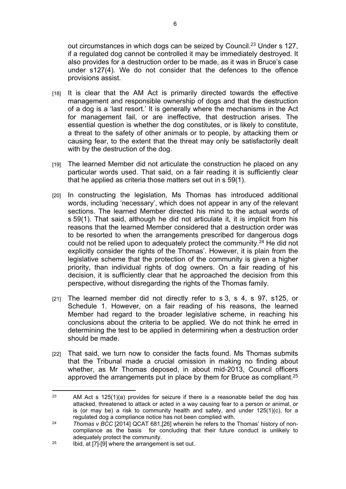out circumstances in which dogs can be seized by Council.<sup>23</sup> Under s 127, if a regulated dog cannot be controlled it may be immediately destroyed. It also provides for a destruction order to be made, as it was in Bruce's case under s127(4). We do not consider that the defences to the offence provisions assist.

- [18] It is clear that the AM Act is primarily directed towards the effective management and responsible ownership of dogs and that the destruction of a dog is a 'last resort.' It is generally where the mechanisms in the Act for management fail, or are ineffective, that destruction arises. The essential question is whether the dog constitutes, or is likely to constitute, a threat to the safety of other animals or to people, by attacking them or causing fear, to the extent that the threat may only be satisfactorily dealt with by the destruction of the dog.
- [19] The learned Member did not articulate the construction he placed on any particular words used. That said, on a fair reading it is sufficiently clear that he applied as criteria those matters set out in s 59(1).
- [20] In constructing the legislation, Ms Thomas has introduced additional words, including 'necessary', which does not appear in any of the relevant sections. The learned Member directed his mind to the actual words of s 59(1). That said, although he did not articulate it, it is implicit from his reasons that the learned Member considered that a destruction order was to be resorted to when the arrangements prescribed for dangerous dogs could not be relied upon to adequately protect the community.<sup>24</sup> He did not explicitly consider the rights of the Thomas'. However, it is plain from the legislative scheme that the protection of the community is given a higher priority, than individual rights of dog owners. On a fair reading of his decision, it is sufficiently clear that he approached the decision from this perspective, without disregarding the rights of the Thomas family.
- [21] The learned member did not directly refer to s 3, s 4, s 97, s 125, or Schedule 1. However, on a fair reading of his reasons, the learned Member had regard to the broader legislative scheme, in reaching his conclusions about the criteria to be applied. We do not think he erred in determining the test to be applied in determining when a destruction order should be made.
- [22] That said, we turn now to consider the facts found. Ms Thomas submits that the Tribunal made a crucial omission in making no finding about whether, as Mr Thomas deposed, in about mid-2013, Council officers approved the arrangements put in place by them for Bruce as compliant.<sup>25</sup>

<sup>&</sup>lt;sup>23</sup> AM Act s 125(1)(a) provides for seizure if there is a reasonable belief the dog has attacked, threatened to attack or acted in a way causing fear to a person or animal, or is (or may be) a risk to community health and safety, and under 125(1)(c), for a regulated dog a compliance notice has not been complied with.

<sup>&</sup>lt;sup>24</sup> *Thomas v BCC* [2014] QCAT 681, [26] wherein he refers to the Thomas' history of noncompliance as the basis for concluding that their future conduct is unlikely to adequately protect the community.

 $25$  Ibid, at [7]-[9] where the arrangement is set out.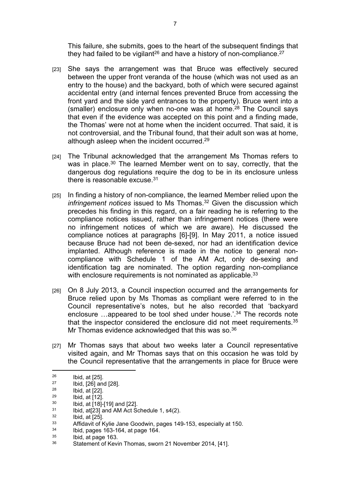This failure, she submits, goes to the heart of the subsequent findings that they had failed to be vigilant<sup>26</sup> and have a history of non-compliance.<sup>27</sup>

- [23] She says the arrangement was that Bruce was effectively secured between the upper front veranda of the house (which was not used as an entry to the house) and the backyard, both of which were secured against accidental entry (and internal fences prevented Bruce from accessing the front yard and the side yard entrances to the property). Bruce went into a (smaller) enclosure only when no-one was at home. $28$  The Council says that even if the evidence was accepted on this point and a finding made, the Thomas' were not at home when the incident occurred. That said, it is not controversial, and the Tribunal found, that their adult son was at home, although asleep when the incident occurred.<sup>29</sup>
- [24] The Tribunal acknowledged that the arrangement Ms Thomas refers to was in place.<sup>30</sup> The learned Member went on to say, correctly, that the dangerous dog regulations require the dog to be in its enclosure unless there is reasonable excuse.<sup>31</sup>
- [25] In finding a history of non-compliance, the learned Member relied upon the *infringement notices* issued to Ms Thomas.<sup>32</sup> Given the discussion which precedes his finding in this regard, on a fair reading he is referring to the compliance notices issued, rather than infringement notices (there were no infringement notices of which we are aware). He discussed the compliance notices at paragraphs [6]-[9]. In May 2011, a notice issued because Bruce had not been de-sexed, nor had an identification device implanted. Although reference is made in the notice to general noncompliance with Schedule 1 of the AM Act, only de-sexing and identification tag are nominated. The option regarding non-compliance with enclosure requirements is not nominated as applicable.<sup>33</sup>
- [26] On 8 July 2013, a Council inspection occurred and the arrangements for Bruce relied upon by Ms Thomas as compliant were referred to in the Council representative's notes, but he also recorded that 'backyard enclosure …appeared to be tool shed under house.<sup>'34</sup> The records note that the inspector considered the enclosure did not meet requirements.<sup>35</sup> Mr Thomas evidence acknowledged that this was so.<sup>36</sup>
- [27] Mr Thomas says that about two weeks later a Council representative visited again, and Mr Thomas says that on this occasion he was told by the Council representative that the arrangements in place for Bruce were

 $\frac{26}{27}$  Ibid, at [25].

 $\frac{27}{28}$  Ibid, [26] and [28].

 $\frac{28}{29}$  Ibid, at [22].

 $^{29}$  Ibid, at [12].

 $^{30}$  Ibid, at [18]-[19] and [22].

 $31$  Ibid, at [23] and AM Act Schedule 1, s4(2).

 $\frac{32}{33}$  Ibid, at [25].

 $33$  Affidavit of Kylie Jane Goodwin, pages 149-153, especially at 150.

 $\frac{34}{35}$  Ibid, pages 163-164, at page 164.

 $\frac{35}{36}$  Ibid, at page 163.

Statement of Kevin Thomas, sworn 21 November 2014, [41].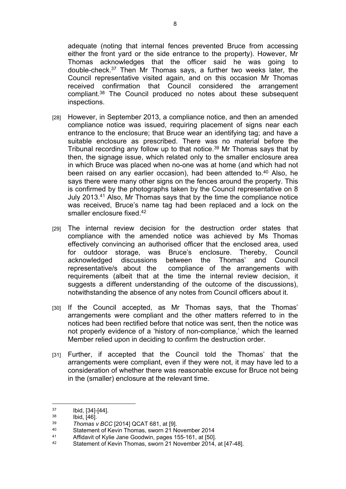adequate (noting that internal fences prevented Bruce from accessing either the front yard or the side entrance to the property). However, Mr Thomas acknowledges that the officer said he was going to double-check.<sup>37</sup> Then Mr Thomas says, a further two weeks later, the Council representative visited again, and on this occasion Mr Thomas received confirmation that Council considered the arrangement compliant.<sup>38</sup> The Council produced no notes about these subsequent inspections.

- [28] However, in September 2013, a compliance notice, and then an amended compliance notice was issued, requiring placement of signs near each entrance to the enclosure; that Bruce wear an identifying tag; and have a suitable enclosure as prescribed. There was no material before the Tribunal recording any follow up to that notice.<sup>39</sup> Mr Thomas says that by then, the signage issue, which related only to the smaller enclosure area in which Bruce was placed when no-one was at home (and which had not been raised on any earlier occasion), had been attended to.<sup>40</sup> Also, he says there were many other signs on the fences around the property. This is confirmed by the photographs taken by the Council representative on 8 July 2013.<sup>41</sup> Also, Mr Thomas says that by the time the compliance notice was received, Bruce's name tag had been replaced and a lock on the smaller enclosure fixed 42
- [29] The internal review decision for the destruction order states that compliance with the amended notice was achieved by Ms Thomas effectively convincing an authorised officer that the enclosed area, used for outdoor storage, was Bruce's enclosure. Thereby, Council acknowledged discussions between the Thomas' and Council representative/s about the compliance of the arrangements with requirements (albeit that at the time the internal review decision, it suggests a different understanding of the outcome of the discussions). notwithstanding the absence of any notes from Council officers about it.
- [30] If the Council accepted, as Mr Thomas says, that the Thomas' arrangements were compliant and the other matters referred to in the notices had been rectified before that notice was sent, then the notice was not properly evidence of a 'history of non-compliance,' which the learned Member relied upon in deciding to confirm the destruction order.
- [31] Further, if accepted that the Council told the Thomas' that the arrangements were compliant, even if they were not, it may have led to a consideration of whether there was reasonable excuse for Bruce not being in the (smaller) enclosure at the relevant time.

 $\frac{37}{38}$  Ibid, [34]-[44].

 $\frac{38}{39}$  Ibid, [46].

<sup>39</sup> *Thomas v BCC* [2014] QCAT 681, at [9].

<sup>40</sup> Statement of Kevin Thomas, sworn 21 November 2014<br>41 Affidavit of Kylie Jane Goodwin, pages 155, 161, at 1501

<sup>41</sup> Affidavit of Kylie Jane Goodwin, pages 155-161, at [50].<br>42 Statement of Kovin Themas, swern 21 November 2014.

Statement of Kevin Thomas, sworn 21 November 2014, at [47-48].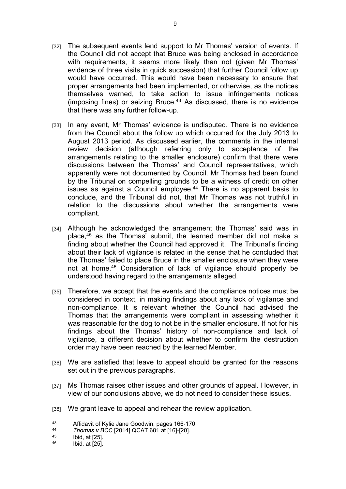- [32] The subsequent events lend support to Mr Thomas' version of events. If the Council did not accept that Bruce was being enclosed in accordance with requirements, it seems more likely than not (given Mr Thomas' evidence of three visits in quick succession) that further Council follow up would have occurred. This would have been necessary to ensure that proper arrangements had been implemented, or otherwise, as the notices themselves warned, to take action to issue infringements notices (imposing fines) or seizing Bruce. $43$  As discussed, there is no evidence that there was any further follow-up.
- [33] In any event, Mr Thomas' evidence is undisputed. There is no evidence from the Council about the follow up which occurred for the July 2013 to August 2013 period. As discussed earlier, the comments in the internal review decision (although referring only to acceptance of the arrangements relating to the smaller enclosure) confirm that there were discussions between the Thomas' and Council representatives, which apparently were not documented by Council. Mr Thomas had been found by the Tribunal on compelling grounds to be a witness of credit on other issues as against a Council employee.<sup>44</sup> There is no apparent basis to conclude, and the Tribunal did not, that Mr Thomas was not truthful in relation to the discussions about whether the arrangements were compliant.
- [34] Although he acknowledged the arrangement the Thomas' said was in place,<sup>45</sup> as the Thomas' submit, the learned member did not make a finding about whether the Council had approved it. The Tribunal's finding about their lack of vigilance is related in the sense that he concluded that the Thomas' failed to place Bruce in the smaller enclosure when they were not at home.<sup>46</sup> Consideration of lack of vigilance should properly be understood having regard to the arrangements alleged.
- [35] Therefore, we accept that the events and the compliance notices must be considered in context, in making findings about any lack of vigilance and non-compliance. It is relevant whether the Council had advised the Thomas that the arrangements were compliant in assessing whether it was reasonable for the dog to not be in the smaller enclosure. If not for his findings about the Thomas' history of non-compliance and lack of vigilance, a different decision about whether to confirm the destruction order may have been reached by the learned Member.
- [36] We are satisfied that leave to appeal should be granted for the reasons set out in the previous paragraphs.
- [37] Ms Thomas raises other issues and other grounds of appeal. However, in view of our conclusions above, we do not need to consider these issues.
- [38] We grant leave to appeal and rehear the review application.

<sup>43</sup> Affidavit of Kylie Jane Goodwin, pages 166-170.

<sup>44</sup> *Thomas v BCC* [2014] QCAT 681 at [16]-[20].

 $^{45}$  Ibid, at [25].

Ibid, at [25].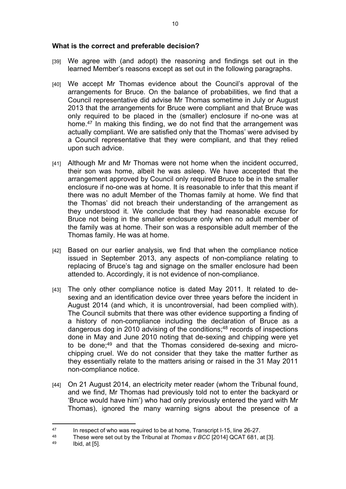#### **What is the correct and preferable decision?**

- [39] We agree with (and adopt) the reasoning and findings set out in the learned Member's reasons except as set out in the following paragraphs.
- [40] We accept Mr Thomas evidence about the Council's approval of the arrangements for Bruce. On the balance of probabilities, we find that a Council representative did advise Mr Thomas sometime in July or August 2013 that the arrangements for Bruce were compliant and that Bruce was only required to be placed in the (smaller) enclosure if no-one was at home.<sup>47</sup> In making this finding, we do not find that the arrangement was actually compliant. We are satisfied only that the Thomas' were advised by a Council representative that they were compliant, and that they relied upon such advice.
- [41] Although Mr and Mr Thomas were not home when the incident occurred. their son was home, albeit he was asleep. We have accepted that the arrangement approved by Council only required Bruce to be in the smaller enclosure if no-one was at home. It is reasonable to infer that this meant if there was no adult Member of the Thomas family at home. We find that the Thomas' did not breach their understanding of the arrangement as they understood it. We conclude that they had reasonable excuse for Bruce not being in the smaller enclosure only when no adult member of the family was at home. Their son was a responsible adult member of the Thomas family. He was at home.
- [42] Based on our earlier analysis, we find that when the compliance notice issued in September 2013, any aspects of non-compliance relating to replacing of Bruce's tag and signage on the smaller enclosure had been attended to. Accordingly, it is not evidence of non-compliance.
- [43] The only other compliance notice is dated May 2011. It related to desexing and an identification device over three years before the incident in August 2014 (and which, it is uncontroversial, had been complied with). The Council submits that there was other evidence supporting a finding of a history of non-compliance including the declaration of Bruce as a dangerous dog in 2010 advising of the conditions;<sup>48</sup> records of inspections done in May and June 2010 noting that de-sexing and chipping were yet to be done;49 and that the Thomas considered de-sexing and microchipping cruel. We do not consider that they take the matter further as they essentially relate to the matters arising or raised in the 31 May 2011 non-compliance notice.
- [44] On 21 August 2014, an electricity meter reader (whom the Tribunal found, and we find, Mr Thomas had previously told not to enter the backyard or 'Bruce would have him') who had only previously entered the yard with Mr Thomas), ignored the many warning signs about the presence of a

<sup>&</sup>lt;sup>47</sup> In respect of who was required to be at home, Transcript I-15, line 26-27.<br><sup>48</sup> Those were set out by the Tribunal at Thomas y BCC 120141 OCAT 681.

<sup>48</sup> These were set out by the Tribunal at *Thomas v BCC* [2014] QCAT 681, at [3].

Ibid, at [5].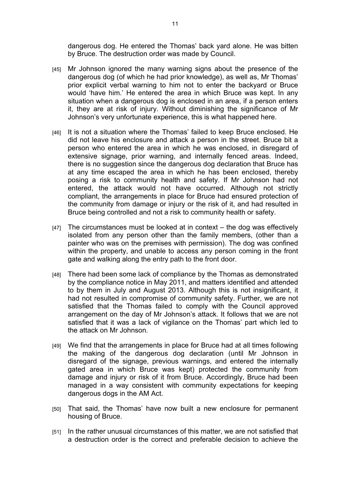dangerous dog. He entered the Thomas' back yard alone. He was bitten by Bruce. The destruction order was made by Council.

- [45] Mr Johnson ignored the many warning signs about the presence of the dangerous dog (of which he had prior knowledge), as well as, Mr Thomas' prior explicit verbal warning to him not to enter the backyard or Bruce would 'have him.' He entered the area in which Bruce was kept. In any situation when a dangerous dog is enclosed in an area, if a person enters it, they are at risk of injury. Without diminishing the significance of Mr Johnson's very unfortunate experience, this is what happened here.
- [46] It is not a situation where the Thomas' failed to keep Bruce enclosed. He did not leave his enclosure and attack a person in the street. Bruce bit a person who entered the area in which he was enclosed, in disregard of extensive signage, prior warning, and internally fenced areas. Indeed, there is no suggestion since the dangerous dog declaration that Bruce has at any time escaped the area in which he has been enclosed, thereby posing a risk to community health and safety. If Mr Johnson had not entered, the attack would not have occurred. Although not strictly compliant, the arrangements in place for Bruce had ensured protection of the community from damage or injury or the risk of it, and had resulted in Bruce being controlled and not a risk to community health or safety.
- $[47]$  The circumstances must be looked at in context the dog was effectively isolated from any person other than the family members, (other than a painter who was on the premises with permission). The dog was confined within the property, and unable to access any person coming in the front gate and walking along the entry path to the front door.
- [48] There had been some lack of compliance by the Thomas as demonstrated by the compliance notice in May 2011, and matters identified and attended to by them in July and August 2013. Although this is not insignificant, it had not resulted in compromise of community safety. Further, we are not satisfied that the Thomas failed to comply with the Council approved arrangement on the day of Mr Johnson's attack. It follows that we are not satisfied that it was a lack of vigilance on the Thomas' part which led to the attack on Mr Johnson.
- [49] We find that the arrangements in place for Bruce had at all times following the making of the dangerous dog declaration (until Mr Johnson in disregard of the signage, previous warnings, and entered the internally gated area in which Bruce was kept) protected the community from damage and injury or risk of it from Bruce. Accordingly, Bruce had been managed in a way consistent with community expectations for keeping dangerous dogs in the AM Act.
- [50] That said, the Thomas' have now built a new enclosure for permanent housing of Bruce.
- [51] In the rather unusual circumstances of this matter, we are not satisfied that a destruction order is the correct and preferable decision to achieve the